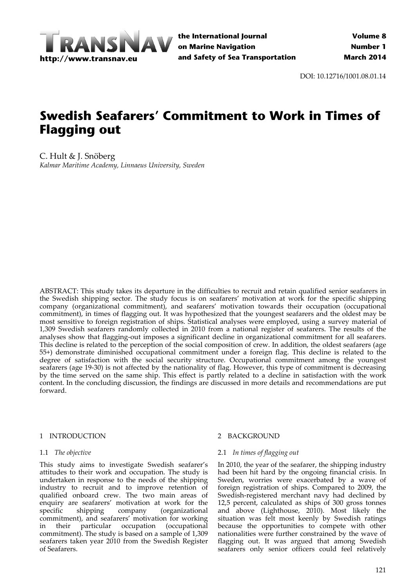

DOI: 10.12716/1001.08.01.14

# **Swedish Seafarers' Commitment to Work in Times of Flagging out**

C. Hult & J. Snöberg *Kalmar Maritime Academy, Linnaeus University, Sweden*

ABSTRACT: This study takes its departure in the difficulties to recruit and retain qualified senior seafarers in the Swedish shipping sector. The study focus is on seafarers' motivation at work for the specific shipping company (organizational commitment), and seafarers' motivation towards their occupation (occupational commitment), in times of flagging out. It was hypothesized that the youngest seafarers and the oldest may be most sensitive to foreign registration of ships. Statistical analyses were employed, using a survey material of 1,309 Swedish seafarers randomly collected in 2010 from a national register of seafarers. The results of the analyses show that flagging‐out imposes a significant decline in organizational commitment for all seafarers. This decline is related to the perception of the social composition of crew. In addition, the oldest seafarers (age 55+) demonstrate diminished occupational commitment under a foreign flag. This decline is related to the degree of satisfaction with the social security structure. Occupational commitment among the youngest seafarers (age 19-30) is not affected by the nationality of flag. However, this type of commitment is decreasing by the time served on the same ship. This effect is partly related to a decline in satisfaction with the work content. In the concluding discussion, the findings are discussed in more details and recommendations are put forward.

#### 1 INTRODUCTION

## 1.1 *The objective*

This study aims to investigate Swedish seafarer's attitudes to their work and occupation. The study is undertaken in response to the needs of the shipping industry to recruit and to improve retention of qualified onboard crew. The two main areas of enquiry are seafarers' motivation at work for the specific shipping company (organizational commitment), and seafarers' motivation for working in their particular occupation (occupational commitment). The study is based on a sample of 1,309 seafarers taken year 2010 from the Swedish Register of Seafarers.

## 2 BACKGROUND

## 2.1 *In times of flagging out*

In 2010, the year of the seafarer, the shipping industry had been hit hard by the ongoing financial crisis. In Sweden, worries were exacerbated by a wave of foreign registration of ships. Compared to 2009, the Swedish-registered merchant navy had declined by 12,5 percent, calculated as ships of 300 gross tonnes and above (Lighthouse, 2010). Most likely the situation was felt most keenly by Swedish ratings because the opportunities to compete with other nationalities were further constrained by the wave of flagging out. It was argued that among Swedish seafarers only senior officers could feel relatively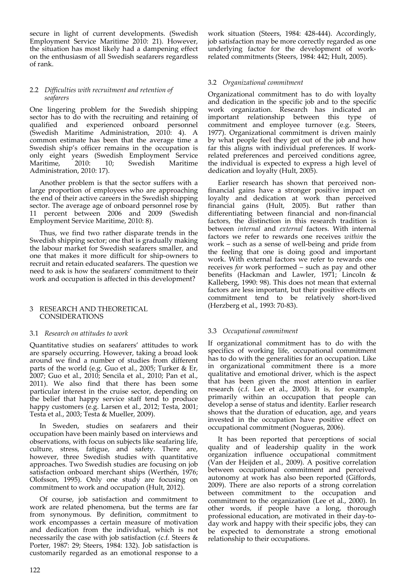secure in light of current developments. (Swedish Employment Service Maritime 2010: 21). However, the situation has most likely had a dampening effect on the enthusiasm of all Swedish seafarers regardless of rank.

## 2.2 *Difficulties with recruitment and retention of seafarers*

One lingering problem for the Swedish shipping sector has to do with the recruiting and retaining of qualified and experienced onboard personnel (Swedish Maritime Administration, 2010: 4). A common estimate has been that the average time a Swedish ship's officer remains in the occupation is only eight years (Swedish Employment Service<br>Maritime, 2010: 10; Swedish Maritime Maritime, 2010: 10; Swedish Maritime Administration, 2010: 17).

Another problem is that the sector suffers with a large proportion of employees who are approaching the end of their active careers in the Swedish shipping sector. The average age of onboard personnel rose by 11 percent between 2006 and 2009 (Swedish Employment Service Maritime, 2010: 8).

Thus, we find two rather disparate trends in the Swedish shipping sector; one that is gradually making the labour market for Swedish seafarers smaller, and one that makes it more difficult for ship‐owners to recruit and retain educated seafarers. The question we need to ask is how the seafarers' commitment to their work and occupation is affected in this development?

## 3 RESEARCH AND THEORETICAL CONSIDERATIONS

## 3.1 *Research on attitudes to work*

Quantitative studies on seafarers' attitudes to work are sparsely occurring. However, taking a broad look around we find a number of studies from different parts of the world (e.g. Guo et al., 2005; Turker & Er, 2007; Guo et al., 2010; Sencila et al., 2010; Pan et al., 2011). We also find that there has been some particular interest in the cruise sector, depending on the belief that happy service staff tend to produce happy customers (e.g. Larsen et al., 2012; Testa, 2001; Testa et al., 2003; Testa & Mueller, 2009).

In Sweden, studies on seafarers and their occupation have been mainly based on interviews and observations, with focus on subjects like seafaring life, culture, stress, fatigue, and safety. There are, however, three Swedish studies with quantitative approaches. Two Swedish studies are focusing on job satisfaction onboard merchant ships (Werthén, 1976; Olofsson, 1995). Only one study are focusing on commitment to work and occupation (Hult, 2012).

Of course, job satisfaction and commitment to work are related phenomena, but the terms are far from synonymous. By definition, commitment to work encompasses a certain measure of motivation and dedication from the individual, which is not necessarily the case with job satisfaction (c.f. Steers & Porter, 1987: 29; Steers, 1984: 132). Job satisfaction is customarily regarded as an emotional response to a

work situation (Steers, 1984: 428‐444). Accordingly, job satisfaction may be more correctly regarded as one underlying factor for the development of work‐ related commitments (Steers, 1984: 442; Hult, 2005).

## 3.2 *Organizational commitment*

Organizational commitment has to do with loyalty and dedication in the specific job and to the specific work organization. Research has indicated an important relationship between this type of commitment and employee turnover (e.g. Steers, 1977). Organizational commitment is driven mainly by what people feel they get out of the job and how far this aligns with individual preferences. If work‐ related preferences and perceived conditions agree, the individual is expected to express a high level of dedication and loyalty (Hult, 2005).

Earlier research has shown that perceived nonfinancial gains have a stronger positive impact on loyalty and dedication at work than perceived financial gains (Hult, 2005). But rather than differentiating between financial and non‐financial factors, the distinction in this research tradition is between *internal* and *external* factors. With internal factors we refer to rewards one receives *within* the work – such as a sense of well‐being and pride from the feeling that one is doing good and important work. With external factors we refer to rewards one receives *for* work performed – such as pay and other benefits (Hackman and Lawler, 1971; Lincoln & Kalleberg, 1990: 98). This does not mean that external factors are less important, but their positive effects on commitment tend to be relatively short‐lived (Herzberg et al., 1993: 70‐83).

## 3.3 *Occupational commitment*

If organizational commitment has to do with the specifics of working life, occupational commitment has to do with the generalities for an occupation. Like in organizational commitment there is a more qualitative and emotional driver, which is the aspect that has been given the most attention in earlier research (c.f. Lee et al., 2000). It is, for example, primarily within an occupation that people can develop a sense of status and identity. Earlier research shows that the duration of education, age, and years invested in the occupation have positive effect on occupational commitment (Nogueras, 2006).

It has been reported that perceptions of social quality and of leadership quality in the work organization influence occupational commitment (Van der Heijden et al., 2009). A positive correlation between occupational commitment and perceived autonomy at work has also been reported (Giffords, 2009). There are also reports of a strong correlation between commitment to the occupation and commitment to the organization (Lee et al., 2000). In other words, if people have a long, thorough professional education, are motivated in their day‐to‐ day work and happy with their specific jobs, they can be expected to demonstrate a strong emotional relationship to their occupations.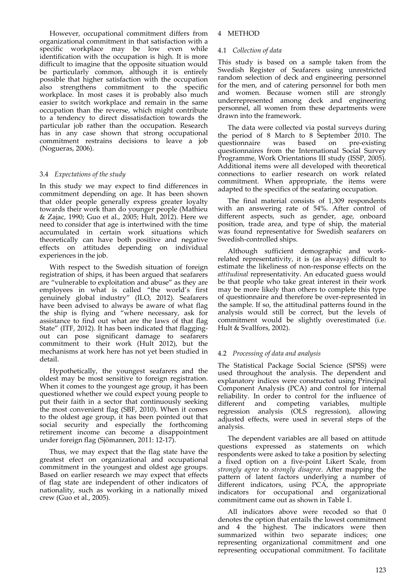However, occupational commitment differs from organizational commitment in that satisfaction with a specific workplace may be low even while identification with the occupation is high. It is more difficult to imagine that the opposite situation would be particularly common, although it is entirely possible that higher satisfaction with the occupation also strengthens commitment to the specific workplace. In most cases it is probably also much easier to switch workplace and remain in the same occupation than the reverse, which might contribute to a tendency to direct dissatisfaction towards the particular job rather than the occupation. Research has in any case shown that strong occupational commitment restrains decisions to leave a job (Nogueras, 2006).

## 3.4 *Expectations of the study*

In this study we may expect to find differences in commitment depending on age. It has been shown that older people generally express greater loyalty towards their work than do younger people (Mathieu & Zajac, 1990; Guo et al., 2005; Hult, 2012). Here we need to consider that age is intertwined with the time accumulated in certain work situations which theoretically can have both positive and negative effects on attitudes depending on individual experiences in the job.

With respect to the Swedish situation of foreign registration of ships, it has been argued that seafarers are "vulnerable to exploitation and abuse" as they are employees in what is called "the world's first genuinely global industry" (ILO, 2012). Seafarers have been advised to always be aware of what flag the ship is flying and "where necessary, ask for assistance to find out what are the laws of that flag State" (ITF, 2012). It has been indicated that flagging‐ out can pose significant damage to seafarers commitment to their work (Hult 2012), but the mechanisms at work here has not yet been studied in detail.

Hypothetically, the youngest seafarers and the oldest may be most sensitive to foreign registration. When it comes to the youngest age group, it has been questioned whether we could expect young people to put their faith in a sector that continuously seeking the most convenient flag (SBF, 2010). When it comes to the oldest age group, it has been pointed out that social security and especially the forthcoming retirement income can become a disappointment under foreign flag (Sjömannen, 2011: 12‐17).

Thus, we may expect that the flag state have the greatest efect on organizational and occupational commitment in the youngest and oldest age groups. Based on earlier research we may expect that effects of flag state are independent of other indicators of nationality, such as working in a nationally mixed crew (Guo et al., 2005).

### 4 METHOD

#### 4.1 *Collection of data*

This study is based on a sample taken from the Swedish Register of Seafarers using unrestricted random selection of deck and engineering personnel for the men, and of catering personnel for both men and women. Because women still are strongly underrepresented among deck and engineering personnel, all women from these departments were drawn into the framework.

The data were collected via postal surveys during the period of 8 March to 8 September 2010. The questionnaire was based on pre‐existing questionnaires from the International Social Survey Programme, Work Orientations III study (ISSP, 2005). Additional items were all developed with theoretical connections to earlier research on work related commitment. When appropriate, the items were adapted to the specifics of the seafaring occupation.

The final material consists of 1,309 respondents with an answering rate of 54%. After control of different aspects, such as gender, age, onboard position, trade area, and type of ship, the material was found representative for Swedish seafarers on Swedish‐controlled ships.

Although sufficient demographic and work‐ related representativity, it is (as always) difficult to estimate the likeliness of non‐response effects on the *attitudinal* representativity. An educated guess would be that people who take great interest in their work may be more likely than others to complete this type of questionnaire and therefore be over‐represented in the sample. If so, the attitudinal patterns found in the analysis would still be correct, but the levels of commitment would be slightly overestimated (i.e. Hult & Svallfors, 2002).

## 4.2 *Processing of data and analysis*

The Statistical Package Social Science (SPSS) were used throughout the analysis. The dependent and explanatory indices were constructed using Principal Component Analysis (PCA) and control for internal reliability. In order to control for the influence of different and competing variables, multiple regression analysis (OLS regression), allowing adjusted effects, were used in several steps of the analysis.

The dependent variables are all based on attitude questions expressed as statements on which respondents were asked to take a position by selecting a fixed option on a five‐point Likert Scale, from *strongly agree* to *strongly disagree*. After mapping the pattern of latent factors underlying a number of different indicators, using PCA, the appropriate indicators for occupational and organizational commitment came out as shown in Table 1.

All indicators above were recoded so that 0 denotes the option that entails the lowest commitment and 4 the highest. The indicators were then summarized within two separate indices; one representing organizational commitment and one representing occupational commitment. To facilitate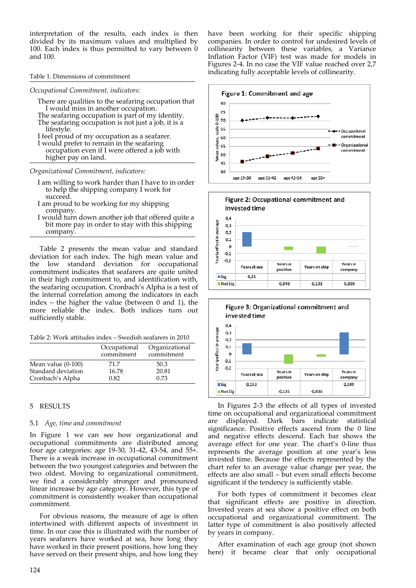interpretation of the results, each index is then divided by its maximum values and multiplied by 100. Each index is thus permitted to vary between 0 and 100.

#### Table 1. Dimensions of commitment

#### *Occupational Commitment, indicators:*

- There are qualities to the seafaring occupation that I would miss in another occupation.
- The seafaring occupation is part of my identity. The seafaring occupation is not just a job, it is a lifestyle.
- I feel proud of my occupation as a seafarer.<br>I would prefer to remain in the seafaring
- occupation even if I were offered a job with higher pay on land.

*Organizational Commitment, indicators:*

- <sup>I</sup> am willing to work harder than <sup>I</sup> have to in order to help the shipping company <sup>I</sup> work for succeed.
- I am proud to be working for my shipping
- company. <sup>I</sup> would turn down another job that offered quite <sup>a</sup> bit more pay in order to stay with this shipping company.

Table 2 presents the mean value and standard deviation for each index. The high mean value and the low standard deviation for occupational commitment indicates that seafarers are quite united in their high commitment to, and identification with, the seafaring occupation. Cronbach's Alpha is a test of the internal correlation among the indicators in each index – the higher the value (between 0 and 1), the more reliable the index. Both indices turn out sufficiently stable.

|  | Table 2: Work attitudes index – Swedish seafarers in 2010 |  |
|--|-----------------------------------------------------------|--|
|  |                                                           |  |

|                      | Occupational<br>commitment | Organizational<br>commitment |
|----------------------|----------------------------|------------------------------|
| Mean value $(0-100)$ | 71.7                       | 50.3                         |
| Standard deviation   | 16.78                      | 20.81                        |
| Cronbach's Alpha     | 0.82                       | 0.73                         |

#### 5 RESULTS

#### 5.1 *Age, time and commitment*

In Figure 1 we can see how organizational and occupational commitments are distributed among four age categories: age 19‐30, 31‐42, 43‐54, and 55+. There is a weak increase in occupational commitment between the two youngest categories and between the two oldest. Moving to organizational commitment, we find a considerably stronger and pronounced linear increase by age category. However, this type of commitment is consistently weaker than occupational commitment.

For obvious reasons, the measure of age is often intertwined with different aspects of investment in time. In our case this is illustrated with the number of years seafarers have worked at sea, how long they have worked in their present positions, how long they have served on their present ships, and how long they have been working for their specific shipping companies. In order to control for undesired levels of collinearity between these variables, a Variance Inflation Factor (VIF) test was made for models in Figures 2‐4. In no case the VIF value reached over 2,7 indicating fully acceptable levels of collinearity.







In Figures 2‐3 the effects of all types of invested time on occupational and organizational commitment are displayed. Dark bars indicate statistical significance. Positive effects ascend from the 0 line and negative effects descend. Each bar shows the average effect for one year. The chart's 0‐line thus represents the average position at one year's less invested time. Because the effects represented by the chart refer to an average value change per year, the effects are also small – but even small effects become significant if the tendency is sufficiently stable.

For both types of commitment it becomes clear that significant effects are positive in direction. Invested years at sea show a positive effect on both occupational and organizational commitment. The latter type of commitment is also positively affected by years in company.

After examination of each age group (not shown here) it became clear that only occupational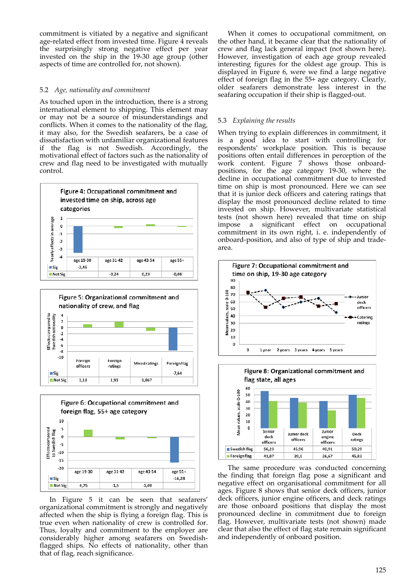commitment is vitiated by a negative and significant age-related effect from invested time. Figure 4 reveals the surprisingly strong negative effect per year invested on the ship in the 19‐30 age group (other aspects of time are controlled for, not shown).

## 5.2 *Age, nationality and commitment*

As touched upon in the introduction, there is a strong international element to shipping. This element may or may not be a source of misunderstandings and conflicts. When it comes to the nationality of the flag, it may also, for the Swedish seafarers, be a case of dissatisfaction with unfamiliar organizational features if the flag is not Swedish. Accordingly, the motivational effect of factors such as the nationality of crew and flag need to be investigated with mutually control.







In Figure 5 it can be seen that seafarers' organizational commitment is strongly and negatively affected when the ship is flying a foreign flag. This is true even when nationality of crew is controlled for. Thus, loyalty and commitment to the employer are considerably higher among seafarers on Swedish‐ flagged ships. No effects of nationality, other than that of flag, reach significance.

When it comes to occupational commitment, on the other hand, it became clear that the nationality of crew and flag lack general impact (not shown here). However, investigation of each age group revealed interesting figures for the oldest age group. This is displayed in Figure 6, were we find a large negative effect of foreign flag in the 55+ age category. Clearly, older seafarers demonstrate less interest in the seafaring occupation if their ship is flagged‐out.

## 5.3 *Explaining the results*

When trying to explain differences in commitment, it is a good idea to start with controlling for respondents' workplace position. This is because positions often entail differences in perception of the work content. Figure 7 shows those onboardpositions, for the age category 19‐30, where the decline in occupational commitment due to invested time on ship is most pronounced. Here we can see that it is junior deck officers and catering ratings that display the most pronounced decline related to time invested on ship. However, multivariate statistical tests (not shown here) revealed that time on ship impose a significant effect on occupational commitment in its own right, i. e. independently of onboard‐position, and also of type of ship and trade‐ area.





The same procedure was conducted concerning the finding that foreign flag pose a significant and negative effect on organisational commitment for all ages. Figure 8 shows that senior deck officers, junior deck officers, junior engine officers, and deck ratings are those onboard positions that display the most pronounced decline in commitment due to foreign flag. However, multivariate tests (not shown) made clear that also the effect of flag state remain significant and independently of onboard position.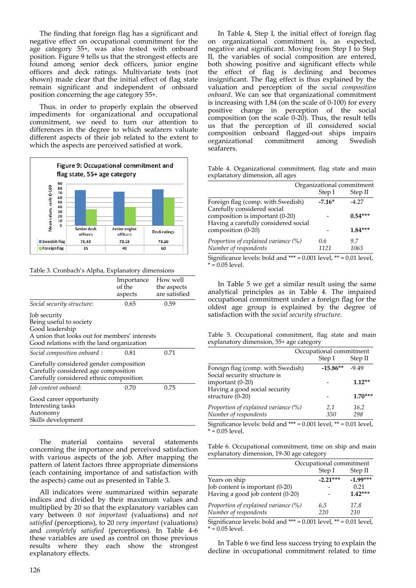The finding that foreign flag has a significant and negative effect on occupational commitment for the age category 55+, was also tested with onboard position. Figure 9 tells us that the strongest effects are found among senior deck officers, junior engine officers and deck ratings. Multivariate tests (not shown) made clear that the initial effect of flag state remain significant and independent of onboard position concerning the age category 55+.

Thus, in order to properly explain the observed impediments for organizational and occupational commitment, we need to turn our attention to differences in the degree to which seafarers valuate different aspects of their job related to the extent to which the aspects are perceived satisfied at work.



#### Table 3. Cronbach's Alpha, Explanatory dimensions

|                                                                                                                                                          | Importance<br>of the<br>aspects | How well<br>the aspects<br>are satisfied |  |
|----------------------------------------------------------------------------------------------------------------------------------------------------------|---------------------------------|------------------------------------------|--|
| Social security structure:                                                                                                                               | 0.65                            | 0.59                                     |  |
| Job security<br>Being useful to society<br>Good leadership<br>A union that looks out for members' interests<br>Good relations with the land organization |                                 |                                          |  |
| Social composition onboard :                                                                                                                             | 0.81                            | 0.71                                     |  |
| Carefully considered gender composition<br>Carefully considered age composition<br>Carefully considered ethnic composition                               |                                 |                                          |  |
| Job content onboard:                                                                                                                                     | 0.70                            | 0.75                                     |  |
| Good career opportunity<br>Interesting tasks<br>Autonomy<br>Skills development                                                                           |                                 |                                          |  |

The material contains several statements concerning the importance and perceived satisfaction with various aspects of the job. After mapping the pattern of latent factors three appropriate dimensions (each containing importance of and satisfaction with the aspects) came out as presented in Table 3.

All indicators were summarized within separate indices and divided by their maximum values and multiplied by 20 so that the explanatory variables can vary between 0 *not important* (valuations) and *not satisfied* (perceptions), to 20 *very important* (valuations) and *completely satisfied* (perceptions). In Table 4‐6 these variables are used as control on those previous results where they each show the strongest explanatory effects.

In Table 4, Step I, the initial effect of foreign flag on organizational commitment is, as expected, negative and significant. Moving from Step I to Step II, the variables of social composition are entered, both showing positive and significant effects while the effect of flag is declining and becomes insignificant. The flag effect is thus explained by the valuation and perception of the *social composition onboard*. We can see that organizational commitment is increasing with 1,84 (on the scale of 0‐100) for every positive change in perception of the social composition (on the scale 0‐20). Thus, the result tells us that the perception of ill considered social composition onboard flagged‐out ships impairs organizational commitment among Swedish seafarers.

Table 4. Organizational commitment, flag state and main explanatory dimension, all ages

|                                                                         | Organizational commitment |             |  |
|-------------------------------------------------------------------------|---------------------------|-------------|--|
|                                                                         | Step I                    | Step II     |  |
| Foreign flag (comp. with Swedish)<br>Carefully considered social        | $-7.16*$                  | -4.27       |  |
| composition is important (0-20)<br>Having a carefully considered social |                           | $0.54***$   |  |
| composition (0-20)                                                      |                           | $1.84***$   |  |
| Proportion of explained variance (%)<br>Number of respondents           | 0.6<br>1121               | 9.7<br>1063 |  |

Significance levels: bold and  $*** = 0.001$  level,  $** = 0.01$  level,  $* = 0.05$  level.

In Table 5 we get a similar result using the same analytical principles as in Table 4. The impaired occupational commitment under a foreign flag for the oldest age group is explained by the degree of satisfaction with the *social security structure*.

Table 5. Occupational commitment, flag state and main explanatory dimension, 55+ age category

|                                      | Occupational commitment |           |  |
|--------------------------------------|-------------------------|-----------|--|
|                                      | Step I                  | Step II   |  |
| Foreign flag (comp. with Swedish)    | $-15.86**$              | $-9.49$   |  |
| Social security structure is         |                         |           |  |
| important (0-20)                     |                         | $1.12***$ |  |
| Having a good social security        |                         |           |  |
| structure (0-20)                     |                         | $1.70***$ |  |
| Proportion of explained variance (%) | 2,1                     | 16,2      |  |
| Number of respondents                | 350                     | 298       |  |
|                                      |                         |           |  |

Significance levels: bold and \*\*\* = 0.001 level, \*\* = 0.01 level,  $* = 0.05$  level.

Table 6. Occupational commitment, time on ship and main explanatory dimension, 19-30 age category

|                                                                                      | Occupational commitment |                                 |  |
|--------------------------------------------------------------------------------------|-------------------------|---------------------------------|--|
|                                                                                      | Step I                  | Step II                         |  |
| Years on ship<br>Job content is important (0-20)<br>Having a good job content (0-20) | $-2.21***$              | $-1.99***$<br>0.21<br>$1.42***$ |  |
| Proportion of explained variance (%)<br>Number of respondents                        | 6,5<br>220              | 17,8<br>210                     |  |

Significance levels: bold and \*\*\* = 0.001 level, \*\* = 0.01 level,  $* = 0.05$  level.

In Table 6 we find less success trying to explain the decline in occupational commitment related to time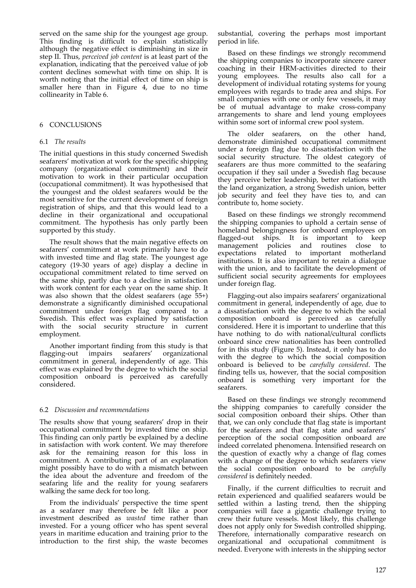served on the same ship for the youngest age group. This finding is difficult to explain statistically although the negative effect is diminishing in size in step II. Thus, *perceived job content* is at least part of the explanation, indicating that the perceived value of job content declines somewhat with time on ship. It is worth noting that the initial effect of time on ship is smaller here than in Figure 4, due to no time collinearity in Table 6.

## 6 CONCLUSIONS

#### 6.1 *The results*

The initial questions in this study concerned Swedish seafarers' motivation at work for the specific shipping company (organizational commitment) and their motivation to work in their particular occupation (occupational commitment). It was hypothesised that the youngest and the oldest seafarers would be the most sensitive for the current development of foreign registration of ships, and that this would lead to a decline in their organizational and occupational commitment. The hypothesis has only partly been supported by this study.

The result shows that the main negative effects on seafarers' commitment at work primarily have to do with invested time and flag state. The youngest age category (19‐30 years of age) display a decline in occupational commitment related to time served on the same ship, partly due to a decline in satisfaction with work content for each year on the same ship. It was also shown that the oldest seafarers (age 55+) demonstrate a significantly diminished occupational commitment under foreign flag compared to a Swedish. This effect was explained by satisfaction with the social security structure in current employment.

Another important finding from this study is that flagging‐out impairs seafarers' organizational commitment in general, independently of age. This effect was explained by the degree to which the social composition onboard is perceived as carefully considered.

## 6.2 *Discussion and recommendations*

The results show that young seafarers' drop in their occupational commitment by invested time on ship. This finding can only partly be explained by a decline in satisfaction with work content. We may therefore ask for the remaining reason for this loss in commitment. A contributing part of an explanation might possibly have to do with a mismatch between the idea about the adventure and freedom of the seafaring life and the reality for young seafarers walking the same deck for too long.

From the individuals' perspective the time spent as a seafarer may therefore be felt like a poor investment described as *wasted* time rather than invested. For a young officer who has spent several years in maritime education and training prior to the introduction to the first ship, the waste becomes

substantial, covering the perhaps most important period in life.

Based on these findings we strongly recommend the shipping companies to incorporate sincere career coaching in their HRM‐activities directed to their young employees. The results also call for a development of individual rotating systems for young employees with regards to trade area and ships. For small companies with one or only few vessels, it may be of mutual advantage to make cross‐company arrangements to share and lend young employees within some sort of informal crew pool system.

The older seafarers, on the other hand, demonstrate diminished occupational commitment under a foreign flag due to dissatisfaction with the social security structure. The oldest category of seafarers are thus more committed to the seafaring occupation if they sail under a Swedish flag because they perceive better leadership, better relations with the land organization, a strong Swedish union, better job security and feel they have ties to, and can contribute to, home society.

Based on these findings we strongly recommend the shipping companies to uphold a certain sense of homeland belongingness for onboard employees on flagged-out ships. It is important to keep management policies and routines close to expectations related to important motherland institutions. It is also important to retain a dialogue with the union, and to facilitate the development of sufficient social security agreements for employees under foreign flag.

Flagging‐out also impairs seafarers' organizational commitment in general, independently of age, due to a dissatisfaction with the degree to which the social composition onboard is perceived as carefully considered. Here it is important to underline that this have nothing to do with national/cultural conflicts onboard since crew nationalities has been controlled for in this study (Figure 5). Instead, it only has to do with the degree to which the social composition onboard is believed to be *carefully considered*. The finding tells us, however, that the social composition onboard is something very important for the seafarers.

Based on these findings we strongly recommend the shipping companies to carefully consider the social composition onboard their ships. Other than that, we can only conclude that flag state is important for the seafarers and that flag state and seafarers' perception of the social composition onboard are indeed correlated phenomena. Intensified research on the question of exactly why a change of flag comes with a change of the degree to which seafarers view the social composition onboard to be *carefully considered* is definitely needed.

Finally, if the current difficulties to recruit and retain experienced and qualified seafarers would be settled within a lasting trend, then the shipping companies will face a gigantic challenge trying to crew their future vessels. Most likely, this challenge does not apply only for Swedish controlled shipping. Therefore, internationally comparative research on organizational and occupational commitment is needed. Everyone with interests in the shipping sector